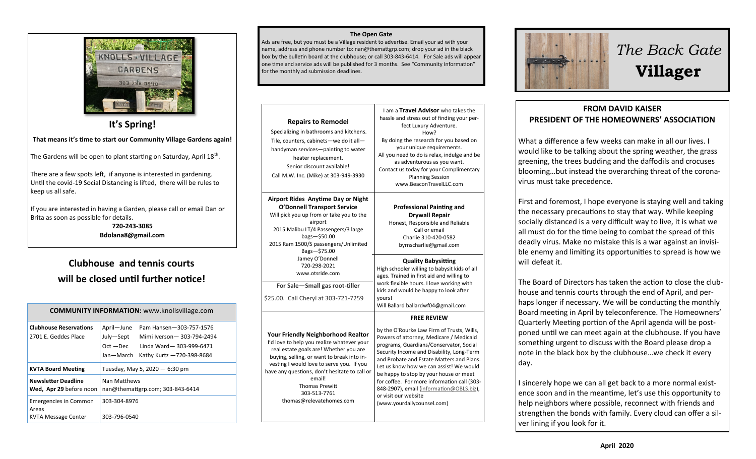

**It's Spring!**

**That means it's time to start our Community Village Gardens again!**

The Gardens will be open to plant starting on Saturday, April 18<sup>th</sup>.

There are a few spots left, if anyone is interested in gardening. Until the covid-19 Social Distancing is lifted, there will be rules to keep us all safe.

If you are interested in having a Garden, please call or email Dan or Brita as soon as possible for details.

> **720-243-3085 Bdolana8@gmail.com**

### **Clubhouse and tennis courts will be closed until further notice!**

| <b>COMMUNITY INFORMATION:</b> www.knollsvillage.com          |                                                                                                                                                                     |
|--------------------------------------------------------------|---------------------------------------------------------------------------------------------------------------------------------------------------------------------|
| <b>Clubhouse Reservations</b><br>2701 F. Geddes Place        | April-June<br>Pam Hansen-303-757-1576<br>July-Sept<br>Mimi Iverson-303-794-2494<br>$Oct - Dec$<br>Linda Ward-303-999-6471<br>Jan-March<br>Kathy Kurtz -720-398-8684 |
| <b>KVTA Board Meeting</b>                                    | Tuesday, May 5, 2020 - 6:30 pm                                                                                                                                      |
| <b>Newsletter Deadline</b><br>Wed, Apr 29 before noon        | Nan Matthews<br>nan@themattgrp.com; 303-843-6414                                                                                                                    |
| <b>Emergencies in Common</b><br>Areas<br>KVTA Message Center | 303-304-8976<br>303-796-0540                                                                                                                                        |

#### **The Open Gate**

Ads are free, but you must be a Village resident to advertise. Email your ad with your name, address and phone number to: nan@themattgrp.com; drop your ad in the black box by the bulletin board at the clubhouse; or call 303-843-6414. For Sale ads will appear one time and service ads will be published for 3 months. See "Community Information" for the monthly ad submission deadlines.

**Repairs to Remodel** Specializing in bathrooms and kitchens. Tile, counters, cabinets—we do it all handyman services—painting to water heater replacement. Senior discount available! Call M.W. Inc. (Mike) at 303-949-3930 I am a **Travel Advisor** who takes the hassle and stress out of finding your perfect Luxury Adventure. How? By doing the research for you based on your unique requirements. All you need to do is relax, indulge and be as adventurous as you want. Contact us today for your Complimentary Planning Session www.BeaconTravelLLC.com **Airport Rides Anytime Day or Night O'Donnell Transport Service** Will pick you up from or take you to the airport 2015 Malibu LT/4 Passengers/3 large bags—\$50.00 2015 Ram 1500/5 passengers/Unlimited Bags—\$75.00 Jamey O'Donnell 720-298-2021 www.otsride.com **For Sale—Small gas root-tiller**  \$25.00. Call Cheryl at 303-721-7259 **Professional Painting and Drywall Repair** Honest, Responsible and Reliable Call or email Charlie 310-420-0582 byrnscharlie@gmail.com **Quality Babysitting** High schooler willing to babysit kids of all ages. Trained in first aid and willing to work flexible hours. I love working with kids and would be happy to look after yours! Will Ballard ballardwf04@gmail.com **Your Friendly Neighborhood Realtor** I'd love to help you realize whatever your real estate goals are! Whether you are buying, selling, or want to break into investing I would love to serve you. If you have any questions, don't hesitate to call or email! Thomas Prewitt 303-513-7761 thomas@relevatehomes.com **FREE REVIEW**  by the O'Rourke Law Firm of Trusts, Wills, Powers of attorney, Medicare / Medicaid programs, Guardians/Conservator, Social Security Income and Disability, Long-Term and Probate and Estate Matters and Plans. Let us know how we can assist! We would be happy to stop by your house or meet for coffee. For more information call (303- 848-2907), email ([information@OBLS.biz\),](mailto:information@OBLS.biz) or visit our website (www.yourdailycounsel.com)



# *The Back Gate*  **Villager**

### **FROM DAVID KAISER PRESIDENT OF THE HOMEOWNERS' ASSOCIATION**

What a difference a few weeks can make in all our lives. I would like to be talking about the spring weather, the grass greening, the trees budding and the daffodils and crocuses blooming…but instead the overarching threat of the coronavirus must take precedence.

First and foremost, I hope everyone is staying well and taking the necessary precautions to stay that way. While keeping socially distanced is a very difficult way to live, it is what we all must do for the time being to combat the spread of this deadly virus. Make no mistake this is a war against an invisible enemy and limiting its opportunities to spread is how we will defeat it.

The Board of Directors has taken the action to close the clubhouse and tennis courts through the end of April, and perhaps longer if necessary. We will be conducting the monthly Board meeting in April by teleconference. The Homeowners' Quarterly Meeting portion of the April agenda will be postponed until we can meet again at the clubhouse. If you have something urgent to discuss with the Board please drop a note in the black box by the clubhouse…we check it every day.

I sincerely hope we can all get back to a more normal existence soon and in the meantime, let's use this opportunity to help neighbors where possible, reconnect with friends and strengthen the bonds with family. Every cloud can offer a silver lining if you look for it.